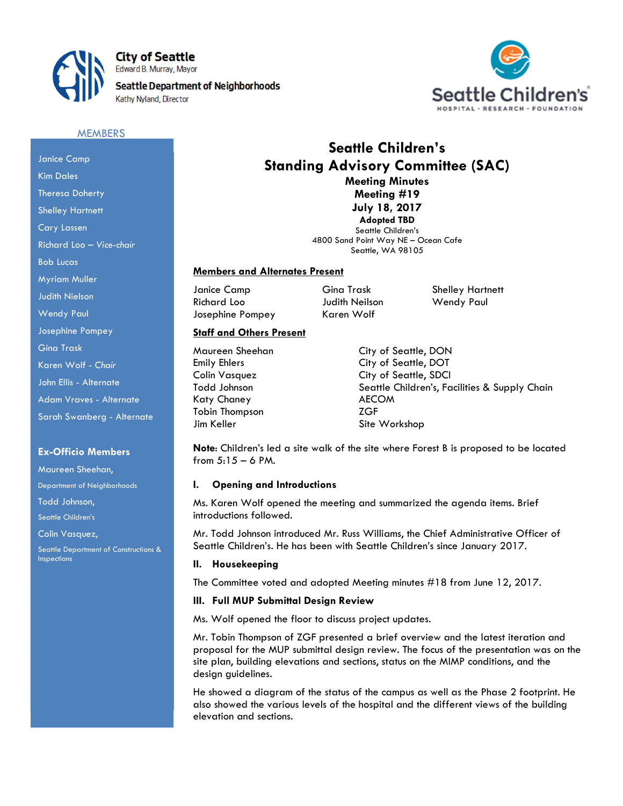

**City of Seattle** Edward B. Murray, Mayor

**Seattle Department of Neighborhoods** Kathy Nyland, Director



#### **MEMBERS**

# Janice Camp Kim Dales Theresa Doherty Shelley Hartnett Cary Lassen Richard Loo – Vice-chair Bob Lucas Myriam Muller Judith Nielson Wendy Paul Josephine Pompey Gina Trask Karen Wolf - Chair John Ellis - Alternate Adam Vraves - Alternate Sarah Swanberg - Alternate

#### Ex-Officio Members

Maureen Sheehan, Department of Neighborhoods

Todd Johnson,

Seattle Children's

Colin Vasquez,

Seattle Department of Constructions & Inspections

# Seattle Children's Standing Advisory Committee (SAC) Meeting Minutes

Meeting #19 July 18, 2017 Adopted TBD

Seattle Children's 4800 Sand Point Way NE – Ocean Cafe Seattle, WA 98105

## Members and Alternates Present

Janice Camp Gina Trask Shelley Hartnett Richard Loo **Judith Neilson** Wendy Paul Josephine Pompey Karen Wolf

# Staff and Others Present

Katy Chaney **AECOM** Tobin Thompson **ZGF** Jim Keller Site Workshop

Maureen Sheehan City of Seattle, DON Emily Ehlers City of Seattle, DOT Colin Vasquez City of Seattle, SDCI Todd Johnson **Seattle Children's, Facilities & Supply Chain** 

Note: Children's led a site walk of the site where Forest B is proposed to be located from 5:15 – 6 PM.

## I. Opening and Introductions

Ms. Karen Wolf opened the meeting and summarized the agenda items. Brief introductions followed.

Mr. Todd Johnson introduced Mr. Russ Williams, the Chief Administrative Officer of Seattle Children's. He has been with Seattle Children's since January 2017.

## II. Housekeeping

The Committee voted and adopted Meeting minutes #18 from June 12, 2017.

## III. Full MUP Submittal Design Review

Ms. Wolf opened the floor to discuss project updates.

Mr. Tobin Thompson of ZGF presented a brief overview and the latest iteration and proposal for the MUP submittal design review. The focus of the presentation was on the site plan, building elevations and sections, status on the MIMP conditions, and the design guidelines.

He showed a diagram of the status of the campus as well as the Phase 2 footprint. He also showed the various levels of the hospital and the different views of the building elevation and sections.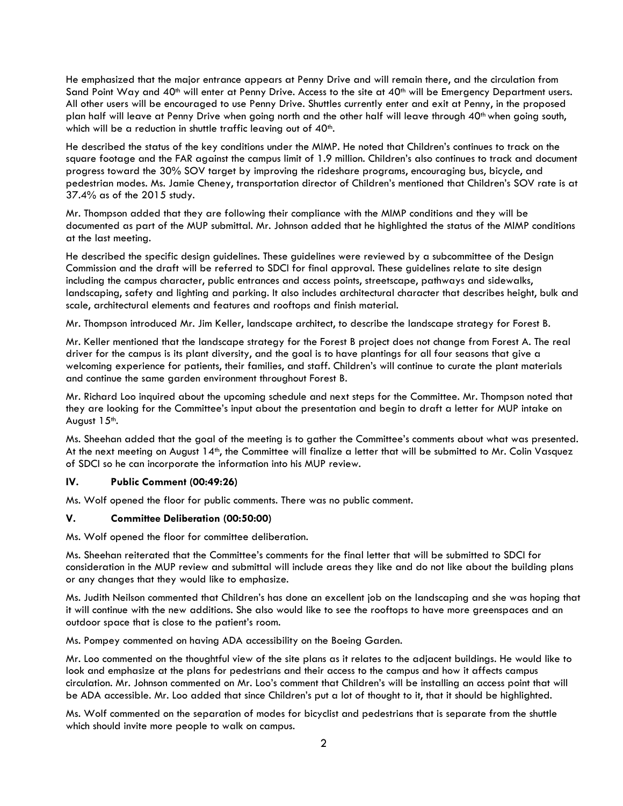He emphasized that the major entrance appears at Penny Drive and will remain there, and the circulation from Sand Point Way and 40<sup>th</sup> will enter at Penny Drive. Access to the site at 40<sup>th</sup> will be Emergency Department users. All other users will be encouraged to use Penny Drive. Shuttles currently enter and exit at Penny, in the proposed plan half will leave at Penny Drive when going north and the other half will leave through 40<sup>th</sup> when going south, which will be a reduction in shuttle traffic leaving out of 40<sup>th</sup>.

He described the status of the key conditions under the MIMP. He noted that Children's continues to track on the square footage and the FAR against the campus limit of 1.9 million. Children's also continues to track and document progress toward the 30% SOV target by improving the rideshare programs, encouraging bus, bicycle, and pedestrian modes. Ms. Jamie Cheney, transportation director of Children's mentioned that Children's SOV rate is at 37.4% as of the 2015 study.

Mr. Thompson added that they are following their compliance with the MIMP conditions and they will be documented as part of the MUP submittal. Mr. Johnson added that he highlighted the status of the MIMP conditions at the last meeting.

He described the specific design guidelines. These guidelines were reviewed by a subcommittee of the Design Commission and the draft will be referred to SDCI for final approval. These guidelines relate to site design including the campus character, public entrances and access points, streetscape, pathways and sidewalks, landscaping, safety and lighting and parking. It also includes architectural character that describes height, bulk and scale, architectural elements and features and rooftops and finish material.

Mr. Thompson introduced Mr. Jim Keller, landscape architect, to describe the landscape strategy for Forest B.

Mr. Keller mentioned that the landscape strategy for the Forest B project does not change from Forest A. The real driver for the campus is its plant diversity, and the goal is to have plantings for all four seasons that give a welcoming experience for patients, their families, and staff. Children's will continue to curate the plant materials and continue the same garden environment throughout Forest B.

Mr. Richard Loo inquired about the upcoming schedule and next steps for the Committee. Mr. Thompson noted that they are looking for the Committee's input about the presentation and begin to draft a letter for MUP intake on August 15<sup>th</sup>.

Ms. Sheehan added that the goal of the meeting is to gather the Committee's comments about what was presented. At the next meeting on August 14<sup>th</sup>, the Committee will finalize a letter that will be submitted to Mr. Colin Vasquez of SDCI so he can incorporate the information into his MUP review.

## IV. Public Comment (00:49:26)

Ms. Wolf opened the floor for public comments. There was no public comment.

## V. Committee Deliberation (00:50:00)

Ms. Wolf opened the floor for committee deliberation.

Ms. Sheehan reiterated that the Committee's comments for the final letter that will be submitted to SDCI for consideration in the MUP review and submittal will include areas they like and do not like about the building plans or any changes that they would like to emphasize.

Ms. Judith Neilson commented that Children's has done an excellent job on the landscaping and she was hoping that it will continue with the new additions. She also would like to see the rooftops to have more greenspaces and an outdoor space that is close to the patient's room.

Ms. Pompey commented on having ADA accessibility on the Boeing Garden.

Mr. Loo commented on the thoughtful view of the site plans as it relates to the adjacent buildings. He would like to look and emphasize at the plans for pedestrians and their access to the campus and how it affects campus circulation. Mr. Johnson commented on Mr. Loo's comment that Children's will be installing an access point that will be ADA accessible. Mr. Loo added that since Children's put a lot of thought to it, that it should be highlighted.

Ms. Wolf commented on the separation of modes for bicyclist and pedestrians that is separate from the shuttle which should invite more people to walk on campus.